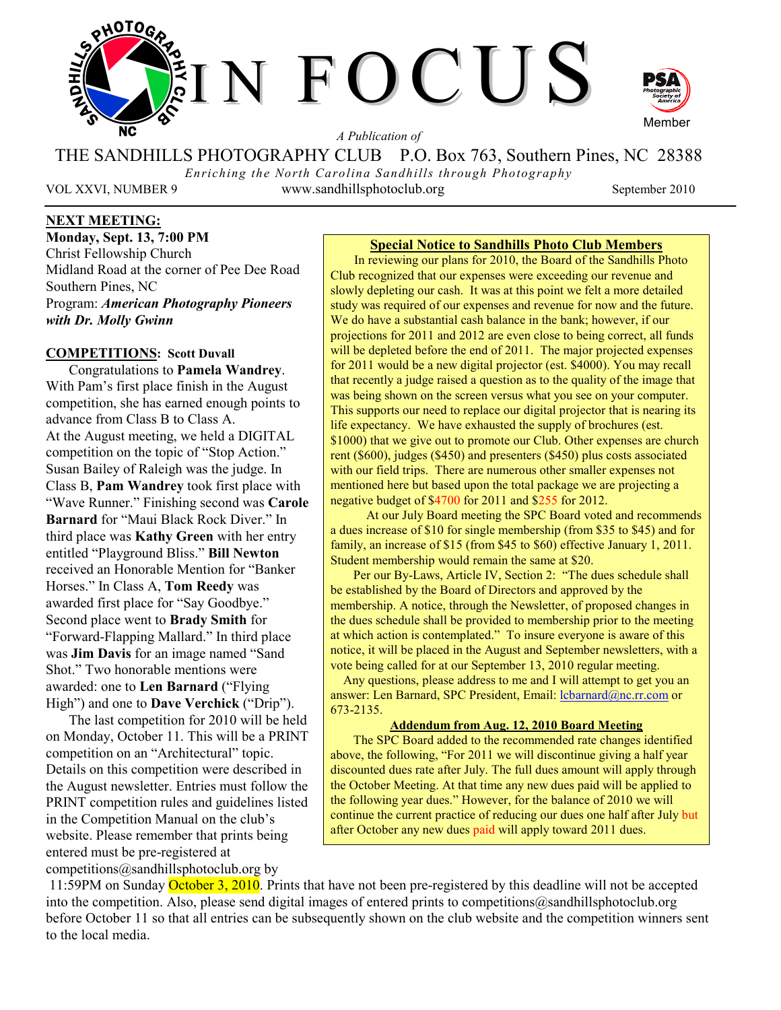

*A Publication of* 

THE SANDHILLS PHOTOGRAPHY CLUB P.O. Box 763, Southern Pines, NC 28388

*Enriching the North Carolina Sandhills through Photography*  VOL XXVI, NUMBER 9 www.sandhillsphotoclub.org September 2010

## **NEXT MEETING:**

**Monday, Sept. 13, 7:00 PM**  Christ Fellowship Church Midland Road at the corner of Pee Dee Road Southern Pines, NC Program: *American Photography Pioneers with Dr. Molly Gwinn*

#### **COMPETITIONS: Scott Duvall**

Congratulations to **Pamela Wandrey**. With Pam's first place finish in the August competition, she has earned enough points to advance from Class B to Class A. At the August meeting, we held a DIGITAL competition on the topic of "Stop Action." Susan Bailey of Raleigh was the judge. In Class B, **Pam Wandrey** took first place with "Wave Runner." Finishing second was **Carole Barnard** for "Maui Black Rock Diver." In third place was **Kathy Green** with her entry entitled "Playground Bliss." **Bill Newton** received an Honorable Mention for "Banker Horses." In Class A, **Tom Reedy** was awarded first place for "Say Goodbye." Second place went to **Brady Smith** for "Forward-Flapping Mallard." In third place was **Jim Davis** for an image named "Sand Shot." Two honorable mentions were awarded: one to **Len Barnard** ("Flying High") and one to **Dave Verchick** ("Drip").

The last competition for 2010 will be held on Monday, October 11. This will be a PRINT competition on an "Architectural" topic. Details on this competition were described in the August newsletter. Entries must follow the PRINT competition rules and guidelines listed in the Competition Manual on the club's website. Please remember that prints being entered must be pre-registered at competitions@sandhillsphotoclub.org by

Member

## **Special Notice to Sandhills Photo Club Members**

 In reviewing our plans for 2010, the Board of the Sandhills Photo Club recognized that our expenses were exceeding our revenue and slowly depleting our cash. It was at this point we felt a more detailed study was required of our expenses and revenue for now and the future. We do have a substantial cash balance in the bank; however, if our projections for 2011 and 2012 are even close to being correct, all funds will be depleted before the end of 2011. The major projected expenses for 2011 would be a new digital projector (est. \$4000). You may recall that recently a judge raised a question as to the quality of the image that was being shown on the screen versus what you see on your computer. This supports our need to replace our digital projector that is nearing its life expectancy. We have exhausted the supply of brochures (est. \$1000) that we give out to promote our Club. Other expenses are church rent (\$600), judges (\$450) and presenters (\$450) plus costs associated with our field trips. There are numerous other smaller expenses not mentioned here but based upon the total package we are projecting a negative budget of \$4700 for 2011 and \$255 for 2012.

 At our July Board meeting the SPC Board voted and recommends a dues increase of \$10 for single membership (from \$35 to \$45) and for family, an increase of \$15 (from \$45 to \$60) effective January 1, 2011. Student membership would remain the same at \$20.

Per our By-Laws, Article IV, Section 2: "The dues schedule shall be established by the Board of Directors and approved by the membership. A notice, through the Newsletter, of proposed changes in the dues schedule shall be provided to membership prior to the meeting at which action is contemplated." To insure everyone is aware of this notice, it will be placed in the August and September newsletters, with a vote being called for at our September 13, 2010 regular meeting.

 Any questions, please address to me and I will attempt to get you an answer: Len Barnard, SPC President, Email: lcbarnard@nc.rr.com or 673-2135.

#### **Addendum from Aug. 12, 2010 Board Meeting**

The SPC Board added to the recommended rate changes identified above, the following, "For 2011 we will discontinue giving a half year discounted dues rate after July. The full dues amount will apply through the October Meeting. At that time any new dues paid will be applied to the following year dues." However, for the balance of 2010 we will continue the current practice of reducing our dues one half after July but after October any new dues paid will apply toward 2011 dues.

11:59PM on Sunday October 3, 2010. Prints that have not been pre-registered by this deadline will not be accepted into the competition. Also, please send digital images of entered prints to competitions@sandhillsphotoclub.org before October 11 so that all entries can be subsequently shown on the club website and the competition winners sent to the local media.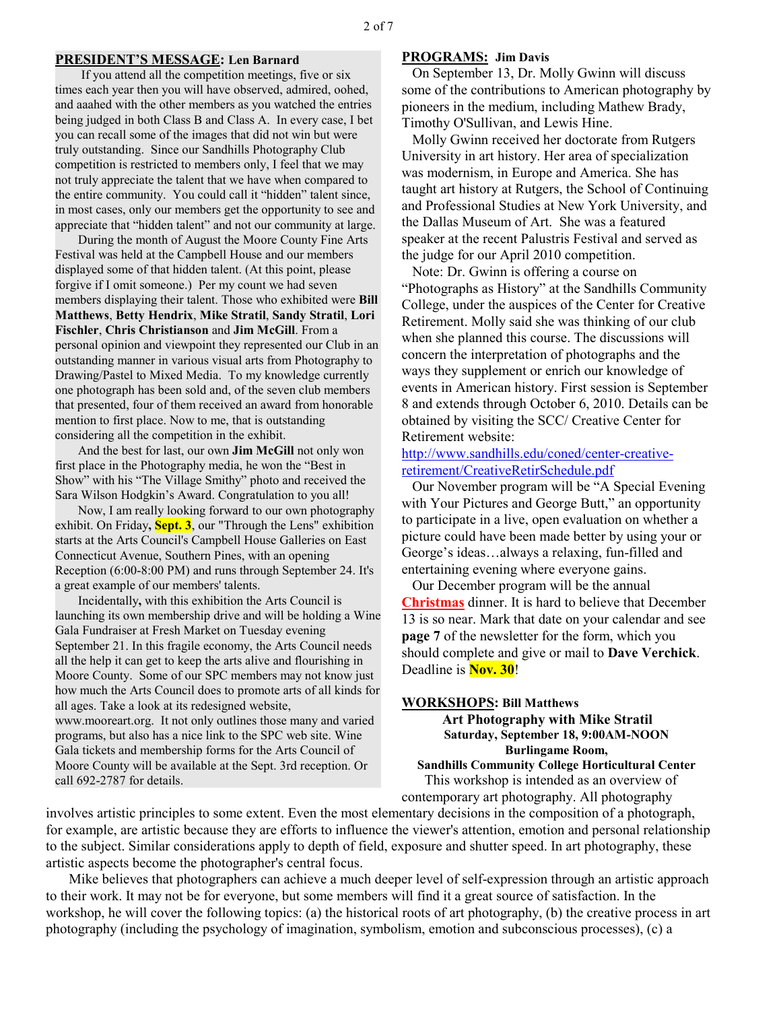#### **PRESIDENT'S MESSAGE: Len Barnard**

 If you attend all the competition meetings, five or six times each year then you will have observed, admired, oohed, and aaahed with the other members as you watched the entries being judged in both Class B and Class A. In every case, I bet you can recall some of the images that did not win but were truly outstanding. Since our Sandhills Photography Club competition is restricted to members only, I feel that we may not truly appreciate the talent that we have when compared to the entire community. You could call it "hidden" talent since, in most cases, only our members get the opportunity to see and appreciate that "hidden talent" and not our community at large.

During the month of August the Moore County Fine Arts Festival was held at the Campbell House and our members displayed some of that hidden talent. (At this point, please forgive if I omit someone.) Per my count we had seven members displaying their talent. Those who exhibited were **Bill Matthews**, **Betty Hendrix**, **Mike Stratil**, **Sandy Stratil**, **Lori Fischler**, **Chris Christianson** and **Jim McGill**. From a personal opinion and viewpoint they represented our Club in an outstanding manner in various visual arts from Photography to Drawing/Pastel to Mixed Media. To my knowledge currently one photograph has been sold and, of the seven club members that presented, four of them received an award from honorable mention to first place. Now to me, that is outstanding considering all the competition in the exhibit.

And the best for last, our own **Jim McGill** not only won first place in the Photography media, he won the "Best in Show" with his "The Village Smithy" photo and received the Sara Wilson Hodgkin's Award. Congratulation to you all!

Now, I am really looking forward to our own photography exhibit. On Friday**, Sept. 3**, our "Through the Lens" exhibition starts at the Arts Council's Campbell House Galleries on East Connecticut Avenue, Southern Pines, with an opening Reception (6:00-8:00 PM) and runs through September 24. It's a great example of our members' talents.

Incidentally**,** with this exhibition the Arts Council is launching its own membership drive and will be holding a Wine Gala Fundraiser at Fresh Market on Tuesday evening September 21. In this fragile economy, the Arts Council needs all the help it can get to keep the arts alive and flourishing in Moore County. Some of our SPC members may not know just how much the Arts Council does to promote arts of all kinds for all ages. Take a look at its redesigned website, www.mooreart.org. It not only outlines those many and varied programs, but also has a nice link to the SPC web site. Wine Gala tickets and membership forms for the Arts Council of Moore County will be available at the Sept. 3rd reception. Or call 692-2787 for details.

#### **PROGRAMS: Jim Davis**

 On September 13, Dr. Molly Gwinn will discuss some of the contributions to American photography by pioneers in the medium, including Mathew Brady, Timothy O'Sullivan, and Lewis Hine.

 Molly Gwinn received her doctorate from Rutgers University in art history. Her area of specialization was modernism, in Europe and America. She has taught art history at Rutgers, the School of Continuing and Professional Studies at New York University, and the Dallas Museum of Art. She was a featured speaker at the recent Palustris Festival and served as the judge for our April 2010 competition.

 Note: Dr. Gwinn is offering a course on "Photographs as History" at the Sandhills Community College, under the auspices of the Center for Creative Retirement. Molly said she was thinking of our club when she planned this course. The discussions will concern the interpretation of photographs and the ways they supplement or enrich our knowledge of events in American history. First session is September 8 and extends through October 6, 2010. Details can be obtained by visiting the SCC/ Creative Center for Retirement website:

## http://www.sandhills.edu/coned/center-creativeretirement/CreativeRetirSchedule.pdf

 Our November program will be "A Special Evening with Your Pictures and George Butt," an opportunity to participate in a live, open evaluation on whether a picture could have been made better by using your or George's ideas…always a relaxing, fun-filled and entertaining evening where everyone gains.

 Our December program will be the annual **Christmas** dinner. It is hard to believe that December 13 is so near. Mark that date on your calendar and see **page 7** of the newsletter for the form, which you should complete and give or mail to **Dave Verchick**. Deadline is **Nov. 30**!

#### **WORKSHOPS: Bill Matthews**

 **Art Photography with Mike Stratil Saturday, September 18, 9:00AM-NOON Burlingame Room, Sandhills Community College Horticultural Center** 

This workshop is intended as an overview of contemporary art photography. All photography

involves artistic principles to some extent. Even the most elementary decisions in the composition of a photograph, for example, are artistic because they are efforts to influence the viewer's attention, emotion and personal relationship to the subject. Similar considerations apply to depth of field, exposure and shutter speed. In art photography, these artistic aspects become the photographer's central focus.

Mike believes that photographers can achieve a much deeper level of self-expression through an artistic approach to their work. It may not be for everyone, but some members will find it a great source of satisfaction. In the workshop, he will cover the following topics: (a) the historical roots of art photography, (b) the creative process in art photography (including the psychology of imagination, symbolism, emotion and subconscious processes), (c) a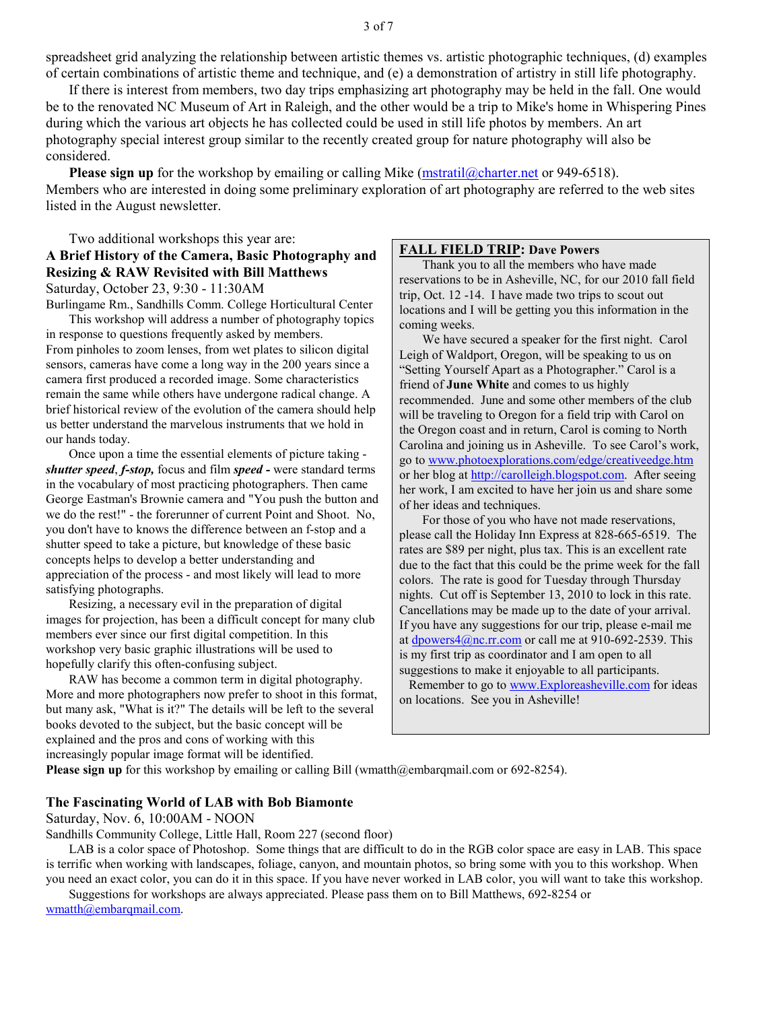spreadsheet grid analyzing the relationship between artistic themes vs. artistic photographic techniques, (d) examples of certain combinations of artistic theme and technique, and (e) a demonstration of artistry in still life photography.

If there is interest from members, two day trips emphasizing art photography may be held in the fall. One would be to the renovated NC Museum of Art in Raleigh, and the other would be a trip to Mike's home in Whispering Pines during which the various art objects he has collected could be used in still life photos by members. An art photography special interest group similar to the recently created group for nature photography will also be considered.

**Please sign up** for the workshop by emailing or calling Mike (mstratil@charter.net or 949-6518). Members who are interested in doing some preliminary exploration of art photography are referred to the web sites listed in the August newsletter.

## Two additional workshops this year are: **A Brief History of the Camera, Basic Photography and Resizing & RAW Revisited with Bill Matthews**  Saturday, October 23, 9:30 - 11:30AM

Burlingame Rm., Sandhills Comm. College Horticultural Center

This workshop will address a number of photography topics in response to questions frequently asked by members. From pinholes to zoom lenses, from wet plates to silicon digital sensors, cameras have come a long way in the 200 years since a camera first produced a recorded image. Some characteristics remain the same while others have undergone radical change. A brief historical review of the evolution of the camera should help us better understand the marvelous instruments that we hold in our hands today.

Once upon a time the essential elements of picture taking *shutter speed*, *f-stop,* focus and film *speed -* were standard terms in the vocabulary of most practicing photographers. Then came George Eastman's Brownie camera and "You push the button and we do the rest!" - the forerunner of current Point and Shoot. No, you don't have to knows the difference between an f-stop and a shutter speed to take a picture, but knowledge of these basic concepts helps to develop a better understanding and appreciation of the process - and most likely will lead to more satisfying photographs.

Resizing, a necessary evil in the preparation of digital images for projection, has been a difficult concept for many club members ever since our first digital competition. In this workshop very basic graphic illustrations will be used to hopefully clarify this often-confusing subject.

RAW has become a common term in digital photography. More and more photographers now prefer to shoot in this format, but many ask, "What is it?" The details will be left to the several books devoted to the subject, but the basic concept will be explained and the pros and cons of working with this increasingly popular image format will be identified.

#### **FALL FIELD TRIP: Dave Powers**

Thank you to all the members who have made reservations to be in Asheville, NC, for our 2010 fall field trip, Oct. 12 -14. I have made two trips to scout out locations and I will be getting you this information in the coming weeks.

We have secured a speaker for the first night. Carol Leigh of Waldport, Oregon, will be speaking to us on "Setting Yourself Apart as a Photographer." Carol is a friend of **June White** and comes to us highly recommended. June and some other members of the club will be traveling to Oregon for a field trip with Carol on the Oregon coast and in return, Carol is coming to North Carolina and joining us in Asheville. To see Carol's work, go to www.photoexplorations.com/edge/creativeedge.htm or her blog at http://carolleigh.blogspot.com. After seeing her work, I am excited to have her join us and share some of her ideas and techniques.

For those of you who have not made reservations, please call the Holiday Inn Express at 828-665-6519. The rates are \$89 per night, plus tax. This is an excellent rate due to the fact that this could be the prime week for the fall colors. The rate is good for Tuesday through Thursday nights. Cut off is September 13, 2010 to lock in this rate. Cancellations may be made up to the date of your arrival. If you have any suggestions for our trip, please e-mail me at dpowers4@nc.rr.com or call me at 910-692-2539. This is my first trip as coordinator and I am open to all suggestions to make it enjoyable to all participants.

 Remember to go to www.Exploreasheville.com for ideas on locations. See you in Asheville!

Please sign up for this workshop by emailing or calling Bill (wmatth@embarqmail.com or 692-8254).

#### **The Fascinating World of LAB with Bob Biamonte**

Saturday, Nov. 6, 10:00AM - NOON

Sandhills Community College, Little Hall, Room 227 (second floor)

LAB is a color space of Photoshop. Some things that are difficult to do in the RGB color space are easy in LAB. This space is terrific when working with landscapes, foliage, canyon, and mountain photos, so bring some with you to this workshop. When you need an exact color, you can do it in this space. If you have never worked in LAB color, you will want to take this workshop.

Suggestions for workshops are always appreciated. Please pass them on to Bill Matthews, 692-8254 or wmatth@embarqmail.com.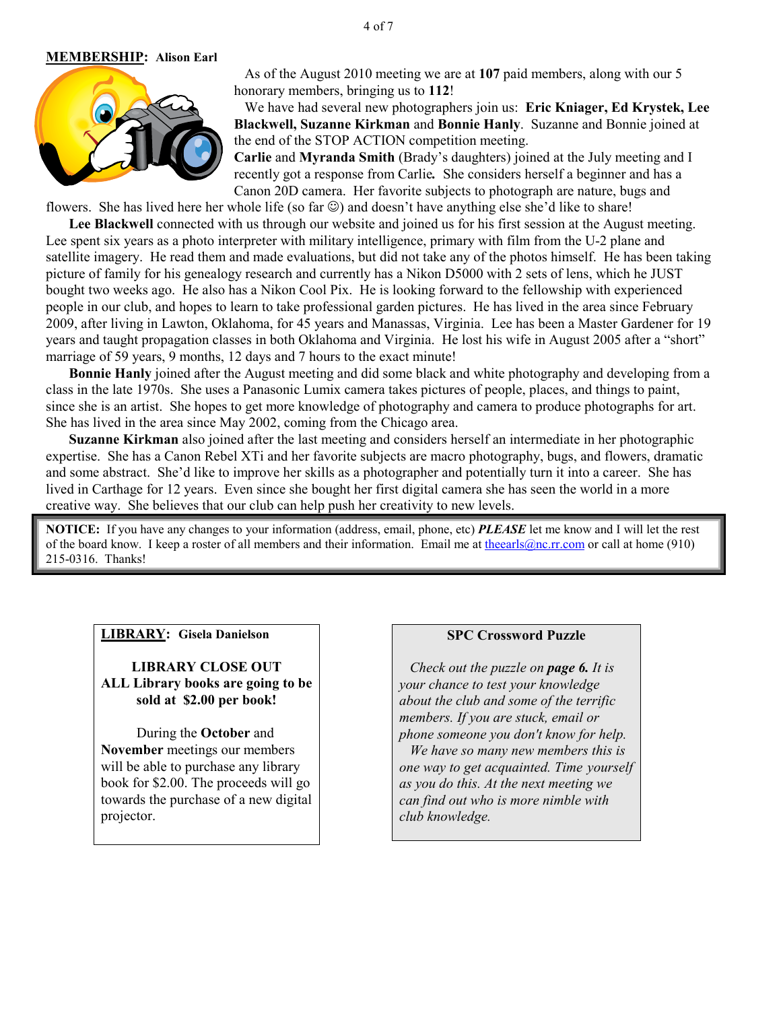#### **MEMBERSHIP: Alison Earl**



 As of the August 2010 meeting we are at **107** paid members, along with our 5 honorary members, bringing us to **112**!

 We have had several new photographers join us: **Eric Kniager, Ed Krystek, Lee Blackwell, Suzanne Kirkman** and **Bonnie Hanly**. Suzanne and Bonnie joined at the end of the STOP ACTION competition meeting.

**Carlie** and **Myranda Smith** (Brady's daughters) joined at the July meeting and I recently got a response from Carlie*.* She considers herself a beginner and has a Canon 20D camera. Her favorite subjects to photograph are nature, bugs and

flowers. She has lived here her whole life (so far  $\odot$ ) and doesn't have anything else she'd like to share!

**Lee Blackwell** connected with us through our website and joined us for his first session at the August meeting. Lee spent six years as a photo interpreter with military intelligence, primary with film from the U-2 plane and satellite imagery. He read them and made evaluations, but did not take any of the photos himself. He has been taking picture of family for his genealogy research and currently has a Nikon D5000 with 2 sets of lens, which he JUST bought two weeks ago. He also has a Nikon Cool Pix. He is looking forward to the fellowship with experienced people in our club, and hopes to learn to take professional garden pictures. He has lived in the area since February 2009, after living in Lawton, Oklahoma, for 45 years and Manassas, Virginia. Lee has been a Master Gardener for 19 years and taught propagation classes in both Oklahoma and Virginia. He lost his wife in August 2005 after a "short" marriage of 59 years, 9 months, 12 days and 7 hours to the exact minute!

**Bonnie Hanly** joined after the August meeting and did some black and white photography and developing from a class in the late 1970s. She uses a Panasonic Lumix camera takes pictures of people, places, and things to paint, since she is an artist. She hopes to get more knowledge of photography and camera to produce photographs for art. She has lived in the area since May 2002, coming from the Chicago area.

**Suzanne Kirkman** also joined after the last meeting and considers herself an intermediate in her photographic expertise. She has a Canon Rebel XTi and her favorite subjects are macro photography, bugs, and flowers, dramatic and some abstract. She'd like to improve her skills as a photographer and potentially turn it into a career. She has lived in Carthage for 12 years. Even since she bought her first digital camera she has seen the world in a more creative way. She believes that our club can help push her creativity to new levels.

**NOTICE:** If you have any changes to your information (address, email, phone, etc) *PLEASE* let me know and I will let the rest of the board know. I keep a roster of all members and their information. Email me at theearls@nc.rr.com or call at home (910) 215-0316. Thanks!

## **LIBRARY: Gisela Danielson**

**LIBRARY CLOSE OUT ALL Library books are going to be sold at \$2.00 per book!** 

 During the **October** and **November** meetings our members will be able to purchase any library book for \$2.00. The proceeds will go towards the purchase of a new digital projector.

#### **SPC Crossword Puzzle**

 *Check out the puzzle on page 6. It is your chance to test your knowledge about the club and some of the terrific members. If you are stuck, email or phone someone you don't know for help.* 

 *We have so many new members this is one way to get acquainted. Time yourself as you do this. At the next meeting we can find out who is more nimble with club knowledge.*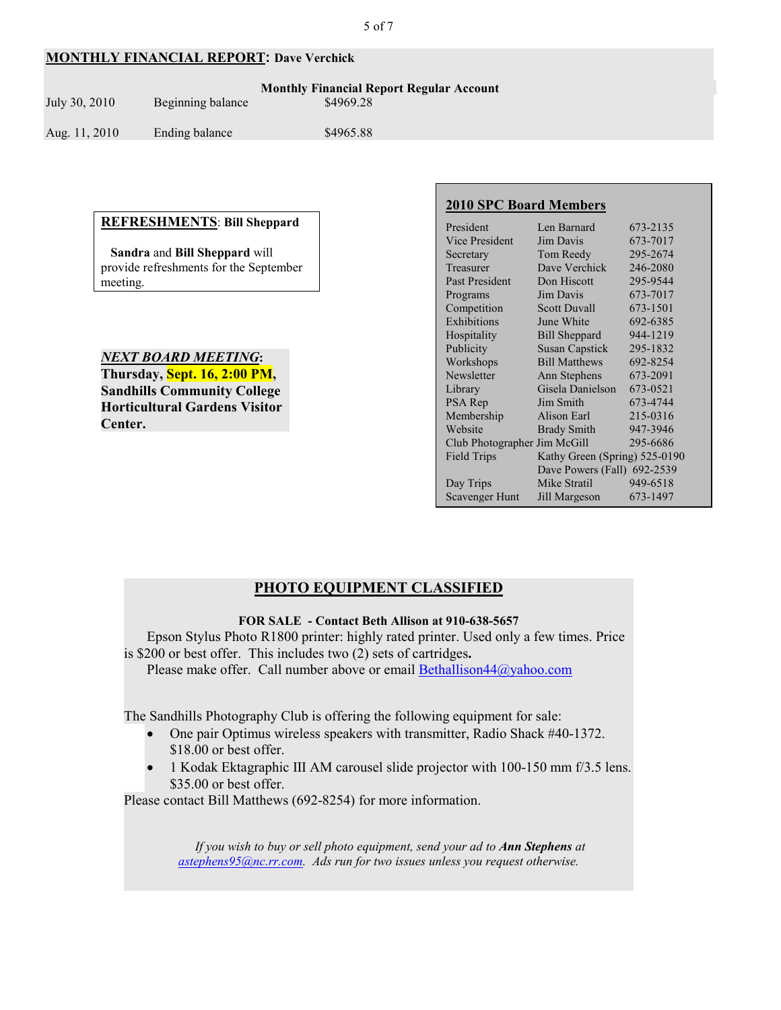## **MONTHLY FINANCIAL REPORT: Dave Verchick**

| July 30, 2010- | Beginning balance | <b>Monthly Financial Report Regular Account</b><br>\$4969.28 |  |
|----------------|-------------------|--------------------------------------------------------------|--|
| Aug. 11, 2010  | Ending balance    | \$4965.88                                                    |  |

#### **REFRESHMENTS**: **Bill Sheppard**

 **Sandra** and **Bill Sheppard** will provide refreshments for the September meeting.

*NEXT BOARD MEETING***: Thursday, Sept. 16, 2:00 PM, Sandhills Community College Horticultural Gardens Visitor Center.** 

## **2010 SPC Board Members**

| President                    | Len Barnard                   | 673-2135 |
|------------------------------|-------------------------------|----------|
| Vice President               | Jim Davis                     | 673-7017 |
| Secretary                    | Tom Reedy                     | 295-2674 |
| Treasurer                    | Dave Verchick                 | 246-2080 |
| <b>Past President</b>        | Don Hiscott                   | 295-9544 |
| Programs                     | Jim Davis                     | 673-7017 |
| Competition                  | <b>Scott Duvall</b>           | 673-1501 |
| Exhibitions                  | June White                    | 692-6385 |
| Hospitality                  | <b>Bill Sheppard</b>          | 944-1219 |
| Publicity                    | <b>Susan Capstick</b>         | 295-1832 |
| Workshops                    | <b>Bill Matthews</b>          | 692-8254 |
| Newsletter                   | Ann Stephens                  | 673-2091 |
| Library                      | Gisela Danielson              | 673-0521 |
| PSA Rep                      | Jim Smith                     | 673-4744 |
| Membership                   | Alison Earl                   | 215-0316 |
| Website                      | <b>Brady Smith</b>            | 947-3946 |
| Club Photographer Jim McGill |                               | 295-6686 |
| <b>Field Trips</b>           | Kathy Green (Spring) 525-0190 |          |
|                              | Dave Powers (Fall) 692-2539   |          |
| Day Trips                    | Mike Stratil                  | 949-6518 |
| <b>Scavenger Hunt</b>        | Jill Margeson                 | 673-1497 |
|                              |                               |          |

## **PHOTO EQUIPMENT CLASSIFIED**

## **FOR SALE - Contact Beth Allison at 910-638-5657**

Epson Stylus Photo R1800 printer: highly rated printer. Used only a few times. Price is \$200 or best offer. This includes two (2) sets of cartridges**.** 

Please make offer. Call number above or email Bethallison $44@$ yahoo.com

The Sandhills Photography Club is offering the following equipment for sale:

- One pair Optimus wireless speakers with transmitter, Radio Shack #40-1372. \$18.00 or best offer.
- 1 Kodak Ektagraphic III AM carousel slide projector with 100-150 mm f/3.5 lens. \$35.00 or best offer.

Please contact Bill Matthews (692-8254) for more information.

*If you wish to buy or sell photo equipment, send your ad to Ann Stephens at astephens95@nc.rr.com. Ads run for two issues unless you request otherwise.*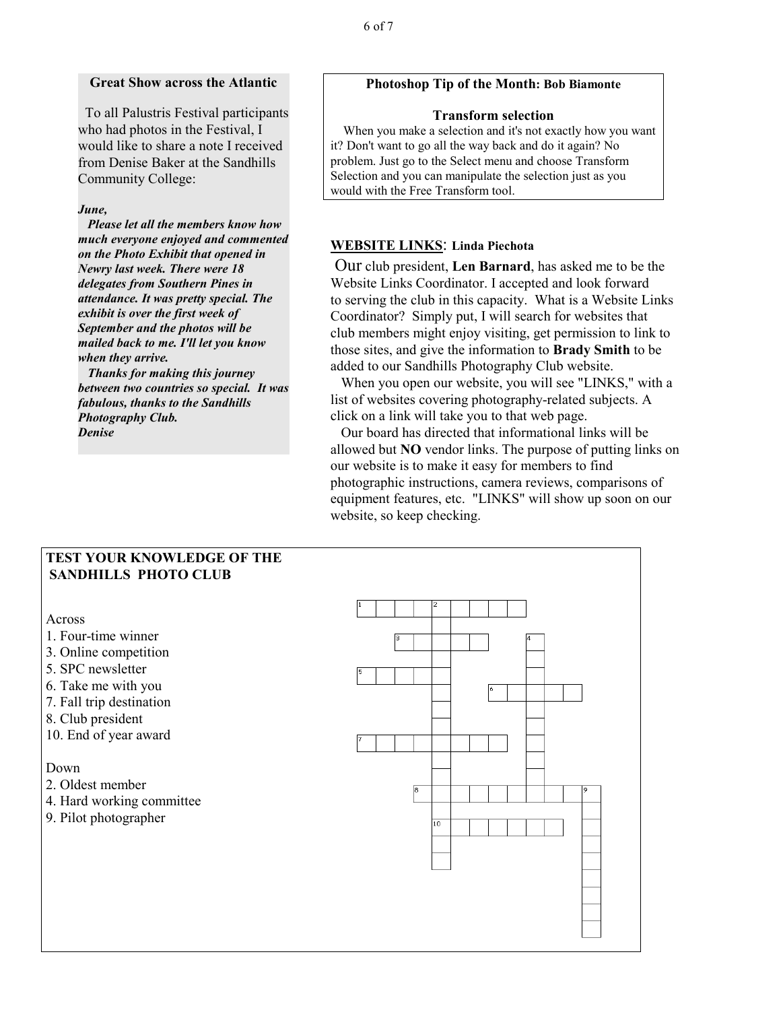#### **Great Show across the Atlantic**

 To all Palustris Festival participants who had photos in the Festival, I would like to share a note I received from Denise Baker at the Sandhills Community College:

#### *June,*

 *Please let all the members know how much everyone enjoyed and commented on the Photo Exhibit that opened in Newry last week. There were 18 delegates from Southern Pines in attendance. It was pretty special. The exhibit is over the first week of September and the photos will be mailed back to me. I'll let you know when they arrive.* 

 *Thanks for making this journey between two countries so special. It was fabulous, thanks to the Sandhills Photography Club. Denise*

## **Photoshop Tip of the Month: Bob Biamonte**

#### **Transform selection**

 When you make a selection and it's not exactly how you want it? Don't want to go all the way back and do it again? No problem. Just go to the Select menu and choose Transform Selection and you can manipulate the selection just as you would with the Free Transform tool.

## **WEBSITE LINKS**: **Linda Piechota**

 Our club president, **Len Barnard**, has asked me to be the Website Links Coordinator. I accepted and look forward to serving the club in this capacity. What is a Website Links Coordinator? Simply put, I will search for websites that club members might enjoy visiting, get permission to link to those sites, and give the information to **Brady Smith** to be added to our Sandhills Photography Club website.

 When you open our website, you will see "LINKS," with a list of websites covering photography-related subjects. A click on a link will take you to that web page.

 Our board has directed that informational links will be allowed but **NO** vendor links. The purpose of putting links on our website is to make it easy for members to find photographic instructions, camera reviews, comparisons of equipment features, etc. "LINKS" will show up soon on our website, so keep checking.

## **TEST YOUR KNOWLEDGE OF THE SANDHILLS PHOTO CLUB**

Across

- 1. Four-time winner
- 3. Online competition
- 5. SPC newsletter
- 6. Take me with you
- 7. Fall trip destination
- 8. Club president
- 10. End of year award

#### Down

- 2. Oldest member
- 4. Hard working committee
- 9. Pilot photographer